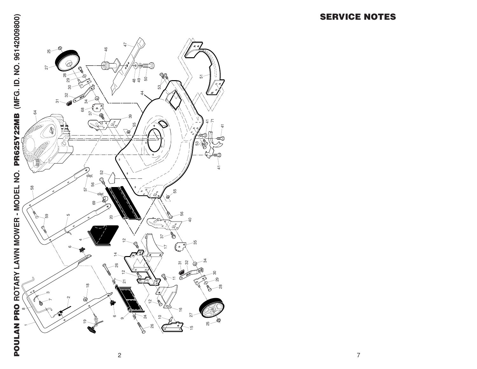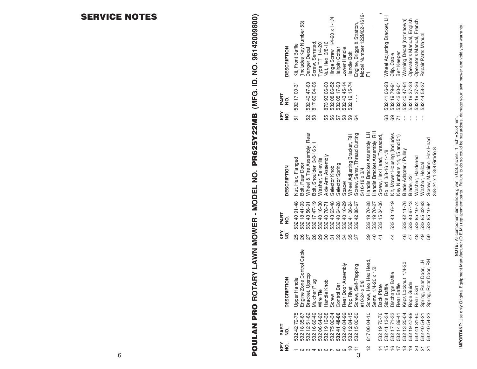| <b>DESCRIPTION</b>    | Kit, Front Baffle                      | (Includes Key Number 53)  | Danger Decal                | Screw, Serrated,          | Type TT 1/4-20                                                                               | Nut, Hex 3/8-16   | Hinge Screw 1/4-20 x 1-1/4   | Hairpin Cotter  | Lower Handle       | Handle Bolt                                  | Engine, Briggs & Stratton,  | Model Number 122M02-1619- | 盂                           |                             |                            | Wheel Adjusting Bracket, LH | Clip, Cable                                                  | Belt Keeper                | Warning Decal (not shown) | Operator's Manual, English | Operator's Manual, French | Repair Parts Manual      |                          |                        |
|-----------------------|----------------------------------------|---------------------------|-----------------------------|---------------------------|----------------------------------------------------------------------------------------------|-------------------|------------------------------|-----------------|--------------------|----------------------------------------------|-----------------------------|---------------------------|-----------------------------|-----------------------------|----------------------------|-----------------------------|--------------------------------------------------------------|----------------------------|---------------------------|----------------------------|---------------------------|--------------------------|--------------------------|------------------------|
| PART<br>$\frac{1}{2}$ | 532 17 00-31                           |                           | 532 40 47-63                | 817 60 04-06              |                                                                                              | 8739306-00        | 532 08 86-52<br>532 05 17-93 |                 | 532 43 45-14       | 532 19 15-74                                 |                             |                           |                             |                             |                            | 532 41 06-23                | 532 19 79-91                                                 | 532 42 90-01               | 532 40 47-64              | 532 19 37-33               | 532 19 37-36              | 532 44 58-37             |                          |                        |
| KEY<br>NO.            | 51                                     |                           | 52                          | 53                        |                                                                                              | 55                | 56                           | 57              | 58                 | 59                                           | 64                          |                           |                             |                             |                            | 68                          | 69                                                           |                            |                           |                            |                           |                          |                          |                        |
| <b>DESCRIPTION</b>    | Nut, Hex, Flanged                      | Bolt, Rear Door           | Wheel & Tire Assembly, Rear | Bolt, Shoulder 3/8-16 x 1 | Washer, Belleville                                                                           | Axle Arm Assembly | Selector Knob                | Selector Spring | Spacer             | Wheel Adjusting Bracket, RH                  | Screw, Sems, Thread Cutting | $5/16 - 18 \times 3/4$    | Handle Bracket Assembly, LH | Handle Bracket Assembly, RH | Screw, Hex Head, Threaded, | Rolled 3/8-16 x 1-1/8       | Kit, Mower Housing (Includes                                 | Key Numbers 14, 15 and 51) | Blade Adapter / Pulley    | Blade, 22"                 | Washer, Hardened          | Washer, Helical          | Screw, Machine, Hex Head | 3/8-24 x 1-3/8 Grade 8 |
| PART<br>$\frac{1}{2}$ | 532 40 91-48                           | 532 18 41-93              | 532 43 56-91                | 532 17 47-19              | 532 40 16-30                                                                                 | 532 40 78-71      | 532 43 63-48                 | 532 40 64-28    | 532 40 16-29       | 532 41 06-24                                 | 532 42 88-67                |                           | 532 19 70-28                | 532 19 70-27                | 532 15 04-06               |                             | 532 43 16-19                                                 |                            | 532 42 11-76              | 532 40 67-13               | 532 85 10-74              | 532 85 02-63             | 532 85 10-84             |                        |
| KEY<br>NO.            | 25                                     | 88                        |                             | 28                        | 29                                                                                           | SO                | $\overline{5}$               | 32              | 34                 |                                              | 57                          |                           | 39                          | $\overline{a}$              | $\frac{4}{3}$              |                             | $\frac{4}{4}$                                                |                            | 46                        | $\overline{4}$             | $\frac{8}{4}$             | $\frac{9}{4}$            | 50                       |                        |
| <b>DESCRIPTION</b>    | $\overline{\mathsf{e}}$<br>Upper Handl | Engine Zone Control Cable | Bracket, Upstop             | Mulcher Plug              | Wire Tie                                                                                     | Handle Knob       | Screw                        | Control Bar     | Rear Door Assembly | Pop Rivet                                    | Screw, Self-Tapping         | #10-24 x 5/8              | Hex Head.<br>Screw, Hex     | Sems 1/4-20 x 1/2           | Back Plate                 | Side Baffle                 | Discharge Baffle                                             | Rear Baffle                | Keps Locknut 1/4-20       | Rope Guide                 | Rear Skirt                | Door, LH<br>Spring, Rear | Door, RH<br>Spring, Real |                        |
| PART<br>NO.           | 532 42 79-75                           | 532 18 35-67              |                             |                           | 532 12 51-62<br>532 16 66-49<br>532 06 64-26<br>532 19 19-38<br>532 75 06-34<br>532 41 48-06 |                   |                              |                 |                    | 532 40 84-92<br>532 12 84-15<br>532 15 00-50 |                             |                           | 8170604-10                  |                             | 532 19 70-76               | 5324113-34                  | 532 17 71-33<br>532 14 89-41<br>532 13 20-04<br>532 19 47-88 |                            |                           |                            | 53241 31-60               | 532 40 54-21             | 532 40 54-23             |                        |
| KEY<br>NO.            |                                        |                           |                             |                           | <b>- 25456789</b>                                                                            |                   |                              |                 |                    | 57                                           | 3                           |                           | 얻                           |                             | $\overline{4}$             | $\overline{15}$             | 9799                                                         |                            |                           |                            | <b>ន ¤ វ</b>              |                          |                          |                        |

**POULAN PRO** 

**ROTARY LAWN MOWER - MODEL NO. PR625Y22MB (MFG. ID. NO. 96142009800)**

POULAN PRO ROTARY LAWN MOWER - MODEL NO. PR625Y22MB (MFG. ID. NO. 96142009800)

**MPORTANT:** Use only Original Equipment Manufacturer (O.E.M.) replacement parts. Failure to do so could be hazardous, damage your lawn mower and void your warranty.<br>IMPORTANT: Use only Original Equipment Manufacturer (O.E. **IMPORTANT:** Use only Original Equipment Manufacturer (O.E.M.) replacement parts. Failure to do so could be hazardous, damage your lawn mower and void your warranty. **NOTE:** All component dimensions given in U.S. inches. 1 inch = 25.4 mm.